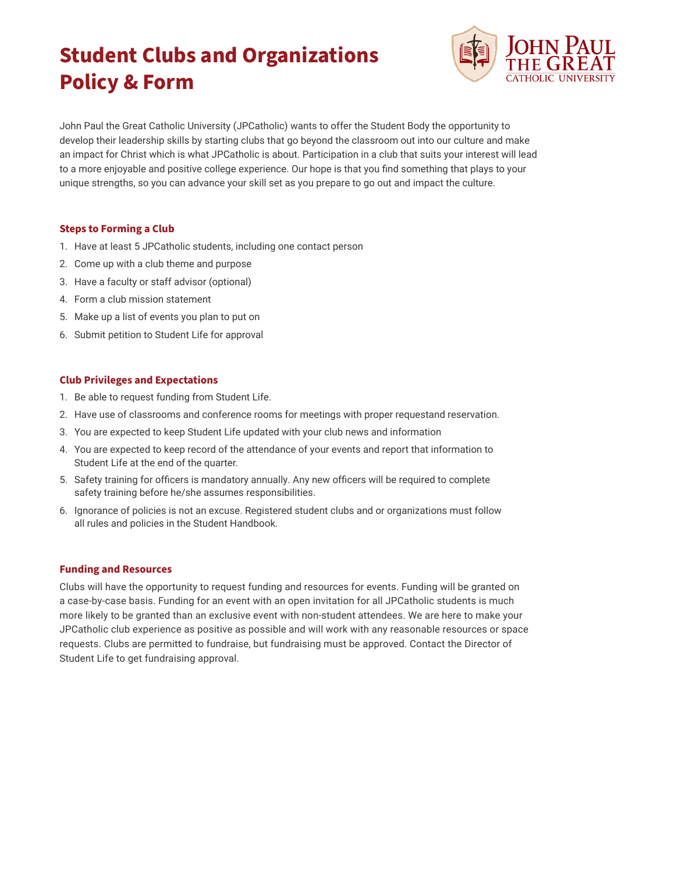# **Student Clubs and Organizations Policy & Form**



John Paul the Great Catholic University (JPCatholic) wants to offer the Student Body the opportunity to develop their leadership skills by starting clubs that go beyond the classroom out into our culture and make an impact for Christ which is what JPCatholic is about. Participation in a club that suits your interest will lead to a more enjoyable and positive college experience. Our hope is that you find something that plays to your unique strengths, so you can advance your skill set as you prepare to go out and impact the culture.

## **Steps to Forming a Club**

- 1. Have at least 5 JPCatholic students, including one contact person
- 2. Come up with a club theme and purpose
- 3. Have a faculty or staff advisor (optional)
- 4. Form a club mission statement
- 5. Make up a list of events you plan to put on
- 6. Submit petition to Student Life for approval

### **Club Privileges and Expectations**

- 1. Be able to request funding from Student Life.
- 2. Have use of classrooms and conference rooms for meetings with proper requestand reservation.
- 3. You are expected to keep Student Life updated with your club news and information
- 4. You are expected to keep record of the attendance of your events and report that information to Student Life at the end of the quarter.
- 5. Safety training for officers is mandatory annually. Any new officers will be required to complete safety training before he/she assumes responsibilities.
- 6. Ignorance of policies is not an excuse. Registered student clubs and or organizations must follow all rules and policies in the Student Handbook.

#### **Funding and Resources**

Clubs will have the opportunity to request funding and resources for events. Funding will be granted on a case-by-case basis. Funding for an event with an open invitation for all JPCatholic students is much more likely to be granted than an exclusive event with non-student attendees. We are here to make your JPCatholic club experience as positive as possible and will work with any reasonable resources or space requests. Clubs are permitted to fundraise, but fundraising must be approved. Contact the Director of Student Life to get fundraising approval.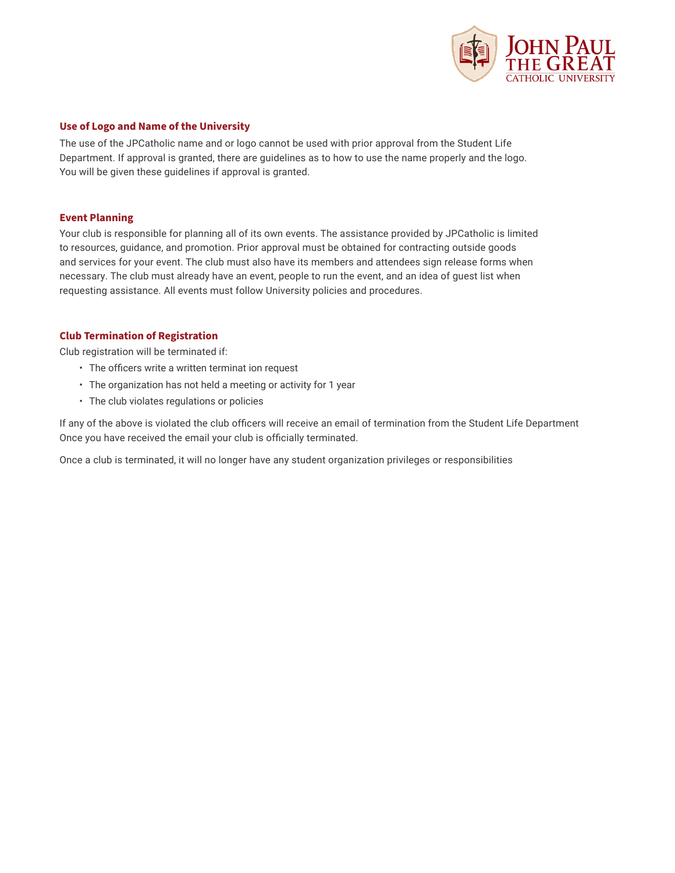

### **Use of Logo and Name of the University**

The use of the JPCatholic name and or logo cannot be used with prior approval from the Student Life Department. If approval is granted, there are guidelines as to how to use the name properly and the logo. You will be given these guidelines if approval is granted.

#### **Event Planning**

Your club is responsible for planning all of its own events. The assistance provided by JPCatholic is limited to resources, guidance, and promotion. Prior approval must be obtained for contracting outside goods and services for your event. The club must also have its members and attendees sign release forms when necessary. The club must already have an event, people to run the event, and an idea of guest list when requesting assistance. All events must follow University policies and procedures.

### **Club Termination of Registration**

Club registration will be terminated if:

- The officers write a written terminat ion request
- The organization has not held a meeting or activity for 1 year
- The club violates regulations or policies

If any of the above is violated the club officers will receive an email of termination from the Student Life Department Once you have received the email your club is officially terminated.

Once a club is terminated, it will no longer have any student organization privileges or responsibilities